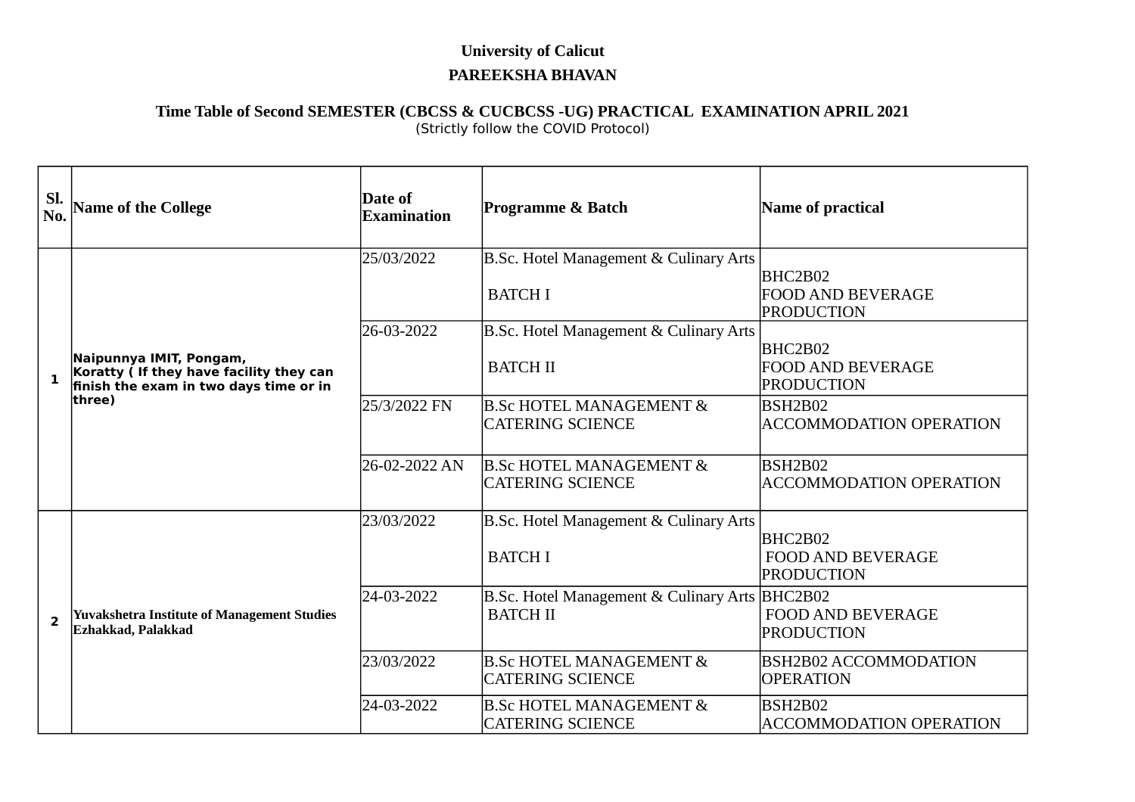## **University of Calicut PAREEKSHA BHAVAN**

## **Time Table of Second SEMESTER (CBCSS & CUCBCSS -UG) PRACTICAL EXAMINATION APRIL 2021** (Strictly follow the COVID Protocol)

| SI.<br>No.              | <b>Name of the College</b>                                                                                              | Date of<br>Examination | Programme & Batch                                                            | Name of practical                                                  |
|-------------------------|-------------------------------------------------------------------------------------------------------------------------|------------------------|------------------------------------------------------------------------------|--------------------------------------------------------------------|
| $\mathbf{1}$            | Naipunnya IMIT, Pongam,<br>Koratty ( If they have facility they can<br>finish the exam in two days time or in<br>three) | 25/03/2022             | <b>B.Sc. Hotel Management &amp; Culinary Arts</b><br><b>BATCH I</b>          | BHC2B02<br><b>FOOD AND BEVERAGE</b><br>PRODUCTION                  |
|                         |                                                                                                                         | 26-03-2022             | <b>B.Sc. Hotel Management &amp; Culinary Arts</b><br><b>BATCH II</b>         | BHC2B02<br><b>FOOD AND BEVERAGE</b><br>PRODUCTION                  |
|                         |                                                                                                                         | 25/3/2022 FN           | <b>B.Sc HOTEL MANAGEMENT &amp;</b><br><b>CATERING SCIENCE</b>                | <b>BSH2B02</b><br><b>ACCOMMODATION OPERATION</b>                   |
|                         |                                                                                                                         | 26-02-2022 AN          | <b>B.Sc HOTEL MANAGEMENT &amp;</b><br><b>CATERING SCIENCE</b>                | BSH <sub>2</sub> B <sub>02</sub><br><b>ACCOMMODATION OPERATION</b> |
| $\overline{\mathbf{2}}$ | <b>Yuvakshetra Institute of Management Studies</b><br>Ezhakkad, Palakkad                                                | 23/03/2022             | <b>B.Sc. Hotel Management &amp; Culinary Arts</b><br><b>BATCH I</b>          | BHC2B02<br><b>FOOD AND BEVERAGE</b><br>PRODUCTION                  |
|                         |                                                                                                                         | 24-03-2022             | <b>B.Sc. Hotel Management &amp; Culinary Arts BHC2B02</b><br><b>BATCH II</b> | <b>FOOD AND BEVERAGE</b><br>PRODUCTION                             |
|                         |                                                                                                                         | 23/03/2022             | <b>B.Sc HOTEL MANAGEMENT &amp;</b><br><b>CATERING SCIENCE</b>                | <b>BSH2B02 ACCOMMODATION</b><br><b>OPERATION</b>                   |
|                         |                                                                                                                         | 24-03-2022             | <b>B.Sc HOTEL MANAGEMENT &amp;</b><br><b>CATERING SCIENCE</b>                | BSH2B02<br><b>ACCOMMODATION OPERATION</b>                          |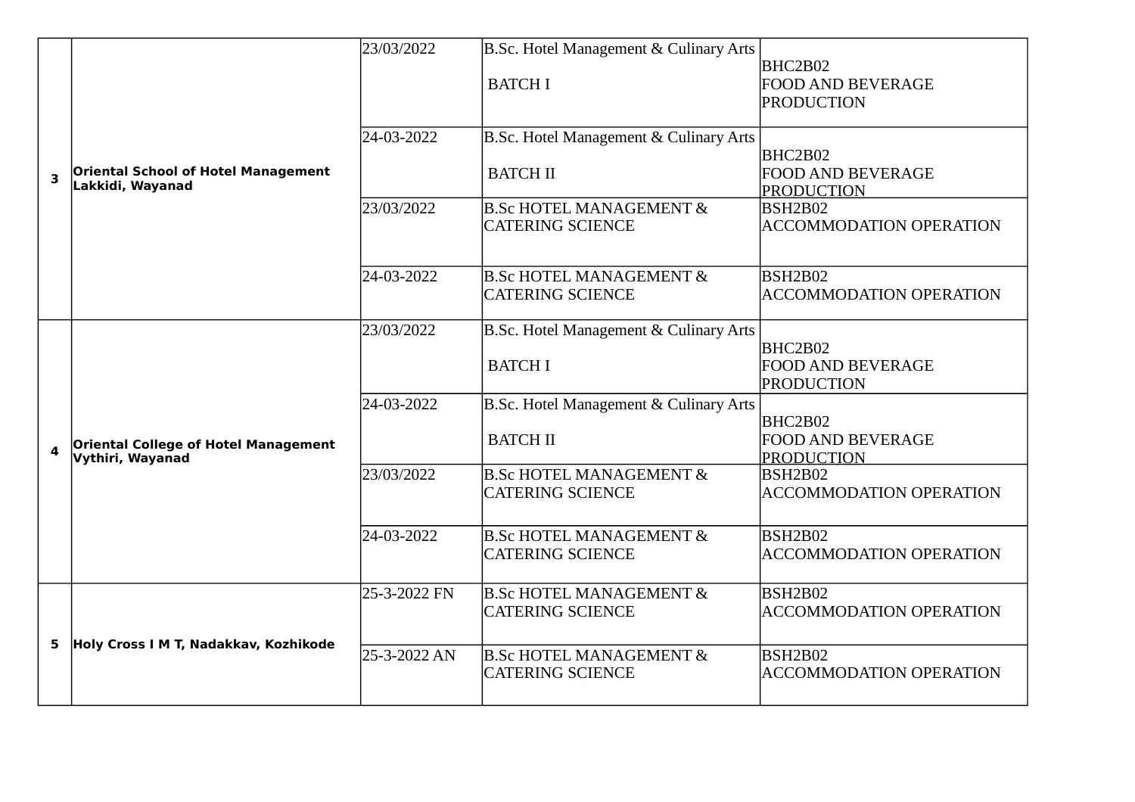|   |                                                                 | 23/03/2022   | B.Sc. Hotel Management & Culinary Arts                        |                                                          |
|---|-----------------------------------------------------------------|--------------|---------------------------------------------------------------|----------------------------------------------------------|
| 3 | <b>Oriental School of Hotel Management</b><br>Lakkidi, Wayanad  |              | <b>BATCH I</b>                                                | BHC2B02<br><b>FOOD AND BEVERAGE</b><br>PRODUCTION        |
|   |                                                                 | 24-03-2022   | B.Sc. Hotel Management & Culinary Arts                        | BHC2B02                                                  |
|   |                                                                 |              | <b>BATCH II</b>                                               | <b>FOOD AND BEVERAGE</b><br><b>PRODUCTION</b>            |
|   |                                                                 | 23/03/2022   | <b>B.Sc HOTEL MANAGEMENT &amp;</b><br><b>CATERING SCIENCE</b> | <b>BSH2B02</b><br><b>ACCOMMODATION OPERATION</b>         |
|   |                                                                 | 24-03-2022   | <b>B.Sc HOTEL MANAGEMENT &amp;</b><br><b>CATERING SCIENCE</b> | <b>BSH2B02</b><br><b>ACCOMMODATION OPERATION</b>         |
| 4 | <b>Oriental College of Hotel Management</b><br>Vythiri, Wayanad | 23/03/2022   | B.Sc. Hotel Management & Culinary Arts                        |                                                          |
|   |                                                                 |              | <b>BATCH I</b>                                                | BHC2B02<br><b>FOOD AND BEVERAGE</b><br>PRODUCTION        |
|   |                                                                 | 24-03-2022   | B.Sc. Hotel Management & Culinary Arts                        |                                                          |
|   |                                                                 |              | <b>BATCH II</b>                                               | BHC2B02<br><b>FOOD AND BEVERAGE</b><br><b>PRODUCTION</b> |
|   |                                                                 | 23/03/2022   | <b>B.Sc HOTEL MANAGEMENT &amp;</b><br><b>CATERING SCIENCE</b> | BSH2B02<br><b>ACCOMMODATION OPERATION</b>                |
|   |                                                                 | 24-03-2022   | <b>B.Sc HOTEL MANAGEMENT &amp;</b><br><b>CATERING SCIENCE</b> | BSH2B02<br><b>ACCOMMODATION OPERATION</b>                |
| 5 | Holy Cross I M T, Nadakkav, Kozhikode                           | 25-3-2022 FN | <b>B.Sc HOTEL MANAGEMENT &amp;</b><br><b>CATERING SCIENCE</b> | BSH2B02<br><b>ACCOMMODATION OPERATION</b>                |
|   |                                                                 | 25-3-2022 AN | <b>B.Sc HOTEL MANAGEMENT &amp;</b><br><b>CATERING SCIENCE</b> | BSH2B02<br><b>ACCOMMODATION OPERATION</b>                |